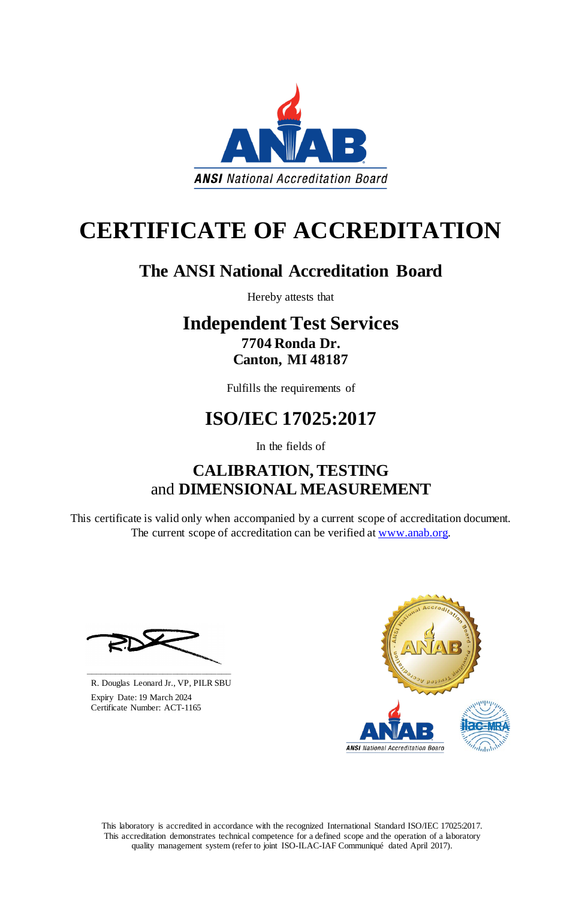This laboratory is accredited in accordance with the recognized International Standard ISO/IEC 17025:2017. This accreditation demonstrates technical competence for a defined scope and the operation of a laboratory quality management system (refer to joint ISO-ILAC-IAF Communiqué dated April 2017).

This certificate is valid only when accompanied by a current scope of accreditation document. The current scope of accreditation can be verified at [www.anab.org.](http://www.anab.org/)







# **CERTIFICATE OF ACCREDITATION**

# **The ANSI National Accreditation Board**

Hereby attests that

## **Independent Test Services 7704 Ronda Dr. Canton, MI 48187**

Fulfills the requirements of

# **ISO/IEC 17025:2017**

In the fields of

# **CALIBRATION, TESTING**  and **DIMENSIONAL MEASUREMENT**

**\_\_\_\_\_\_\_\_\_\_\_\_\_\_\_\_\_\_\_\_\_\_\_\_\_\_\_\_\_\_** R. Douglas Leonard Jr., VP, PILR SBU

 Expiry Date: 19 March 2024 Certificate Number: ACT-1165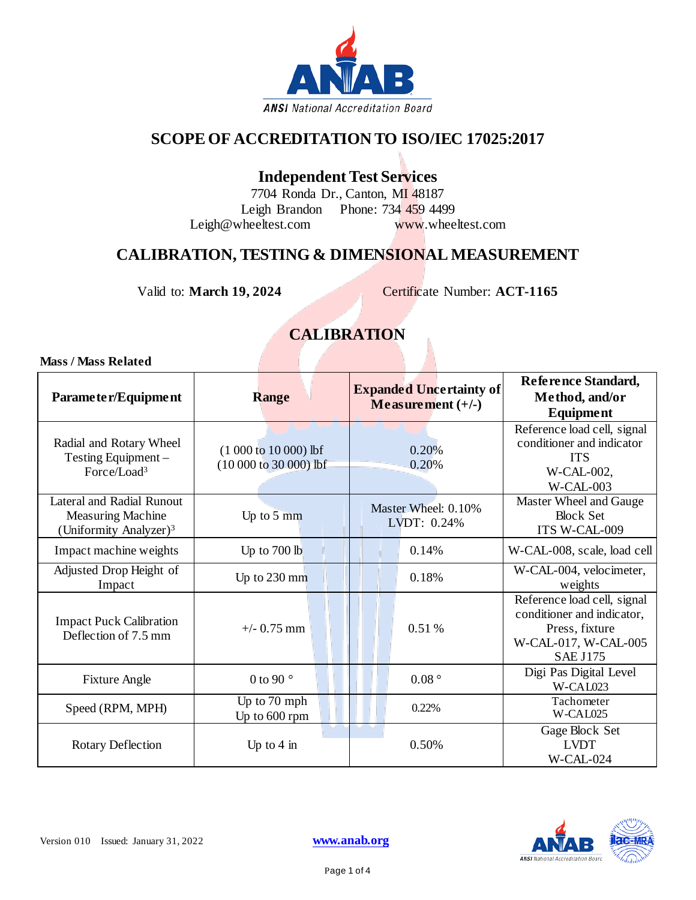

#### **SCOPE OF ACCREDITATION TO ISO/IEC 17025:2017**

#### **Independent Test Services**

7704 Ronda Dr., Canton, MI 48187 Leigh Brandon Phone: 734 459 4499 [Leigh@wheeltest.com](mailto:Leigh@wheeltest.com) [www.wheeltest.com](http://www.wheeltest.com/)

#### **CALIBRATION, TESTING & DIMENSIONAL MEASUREMENT**

Valid to: **March 19, 2024** Certificate Number: **ACT-1165**

### **CALIBRATION**

#### **Mass / Mass Related**

| Parameter/Equipment                                                                         | <b>Range</b>                                    | <b>Expanded Uncertainty of</b><br>Measurement $(+/-)$ | Reference Standard,<br>Method, and/or<br>Equipment                                                                     |
|---------------------------------------------------------------------------------------------|-------------------------------------------------|-------------------------------------------------------|------------------------------------------------------------------------------------------------------------------------|
| Radial and Rotary Wheel<br>Testing Equipment -<br>Force/Load <sup>3</sup>                   | $(1000 to 10000)$ lbf<br>$(10000 to 30000)$ lbf | 0.20%<br>0.20%                                        | Reference load cell, signal<br>conditioner and indicator<br><b>ITS</b><br>W-CAL-002,<br>$W-CAL-003$                    |
| Lateral and Radial Runout<br><b>Measuring Machine</b><br>(Uniformity Analyzer) <sup>3</sup> | Up to 5 mm                                      | Master Wheel: 0.10%<br>LVDT: 0.24%                    | Master Wheel and Gauge<br><b>Block Set</b><br>ITS W-CAL-009                                                            |
| Impact machine weights                                                                      | Up to 700 lb                                    | 0.14%                                                 | W-CAL-008, scale, load cell                                                                                            |
| Adjusted Drop Height of<br>Impact                                                           | Up to $230$ mm                                  | 0.18%                                                 | W-CAL-004, velocimeter,<br>weights                                                                                     |
| <b>Impact Puck Calibration</b><br>Deflection of 7.5 mm                                      | $+/- 0.75$ mm                                   | 0.51 %                                                | Reference load cell, signal<br>conditioner and indicator,<br>Press, fixture<br>W-CAL-017, W-CAL-005<br><b>SAE J175</b> |
| <b>Fixture Angle</b>                                                                        | 0 to 90 $\degree$                               | 0.08°                                                 | Digi Pas Digital Level<br>W-CAL023                                                                                     |
| Speed (RPM, MPH)                                                                            | Up to 70 mph<br>Up to 600 rpm                   | 0.22%                                                 | Tachometer<br>W-CAL025                                                                                                 |
| <b>Rotary Deflection</b>                                                                    | Up to $4 \text{ in}$                            | 0.50%                                                 | Gage Block Set<br><b>LVDT</b><br>W-CAL-024                                                                             |

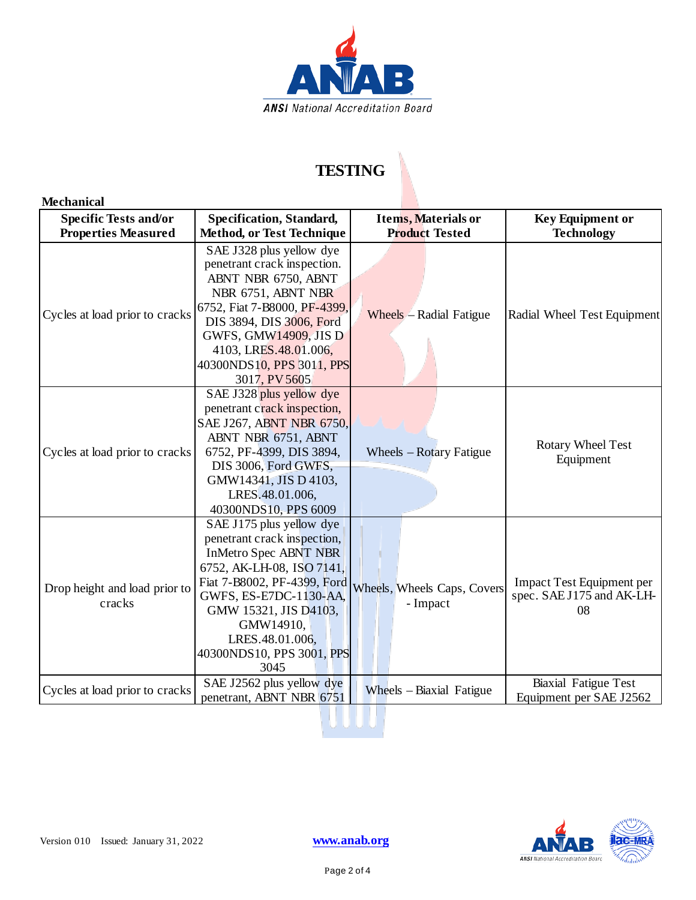

### **TESTING**

#### **Mechanical**

| <b>Specific Tests and/or</b>                                 | Specification, Standard,                                                                                                                                                                                                                                                    | <b>Items, Materials or</b>                       | <b>Key Equipment or</b>                                      |
|--------------------------------------------------------------|-----------------------------------------------------------------------------------------------------------------------------------------------------------------------------------------------------------------------------------------------------------------------------|--------------------------------------------------|--------------------------------------------------------------|
| <b>Properties Measured</b><br>Cycles at load prior to cracks | <b>Method, or Test Technique</b><br>SAE J328 plus yellow dye<br>penetrant crack inspection.<br>ABNT NBR 6750, ABNT<br>NBR 6751, ABNT NBR<br>6752, Fiat 7-B8000, PF-4399,<br>DIS 3894, DIS 3006, Ford<br><b>GWFS, GMW14909, JIS D</b>                                        | <b>Product Tested</b><br>Wheels – Radial Fatigue | <b>Technology</b><br>Radial Wheel Test Equipment             |
|                                                              | 4103, LRES.48.01.006,<br>40300NDS10, PPS 3011, PPS<br>3017, PV 5605                                                                                                                                                                                                         |                                                  |                                                              |
| Cycles at load prior to cracks                               | SAE J328 plus yellow dye<br>penetrant crack inspection,<br>SAE J267, ABNT NBR 6750,<br>ABNT NBR 6751, ABNT<br>6752, PF-4399, DIS 3894,<br>DIS 3006, Ford GWFS,<br>GMW14341, JIS D 4103,<br>LRES.48.01.006,<br>40300NDS10, PPS 6009                                          | Wheels – Rotary Fatigue                          | <b>Rotary Wheel Test</b><br>Equipment                        |
| Drop height and load prior to<br>cracks                      | SAE J175 plus yellow dye<br>penetrant crack inspection,<br><b>InMetro Spec ABNT NBR</b><br>6752, AK-LH-08, ISO 7141,<br>Fiat 7-B8002, PF-4399, Ford<br>GWFS, ES-E7DC-1130-AA,<br>GMW 15321, JIS D4103,<br>GMW14910,<br>LRES.48.01.006,<br>40300NDS10, PPS 3001, PPS<br>3045 | Wheels, Wheels Caps, Covers<br>- Impact          | Impact Test Equipment per<br>spec. SAE J175 and AK-LH-<br>08 |
| Cycles at load prior to cracks                               | SAE J2562 plus yellow dye<br>penetrant, ABNT NBR 6751                                                                                                                                                                                                                       | Wheels – Biaxial Fatigue                         | <b>Biaxial Fatigue Test</b><br>Equipment per SAE J2562       |

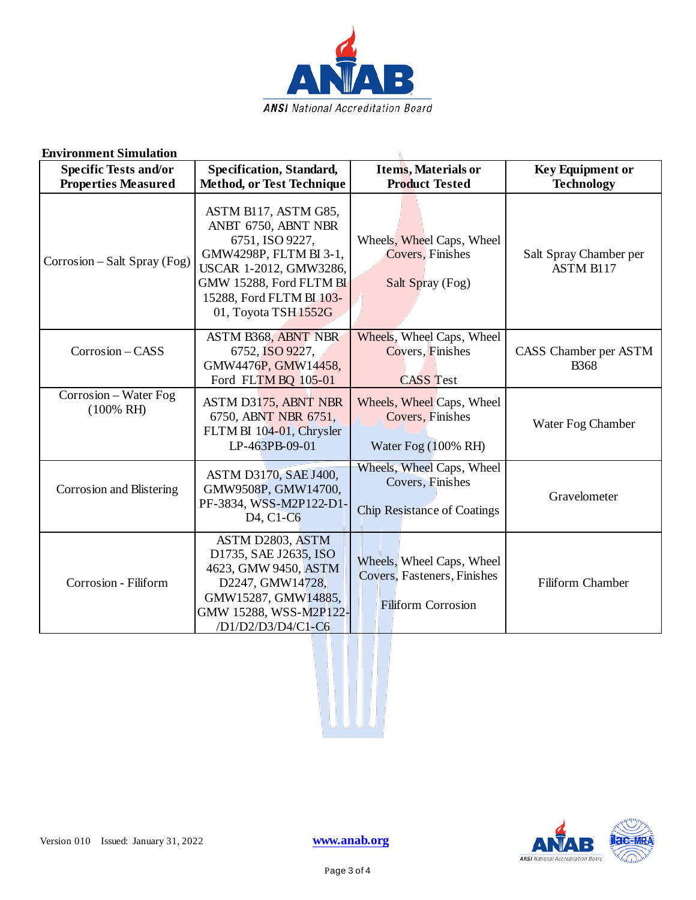

| <b>Environment Simulation</b>                              |                                                                                                                                                                                                   |                                                                                       |                                              |  |
|------------------------------------------------------------|---------------------------------------------------------------------------------------------------------------------------------------------------------------------------------------------------|---------------------------------------------------------------------------------------|----------------------------------------------|--|
| <b>Specific Tests and/or</b><br><b>Properties Measured</b> | <b>Specification, Standard,</b><br><b>Method, or Test Technique</b>                                                                                                                               | <b>Items, Materials or</b><br><b>Product Tested</b>                                   | <b>Key Equipment or</b><br><b>Technology</b> |  |
| Corrosion – Salt Spray (Fog)                               | ASTM B117, ASTM G85,<br>ANBT 6750, ABNT NBR<br>6751, ISO 9227,<br>GMW4298P, FLTM BI 3-1,<br>USCAR 1-2012, GMW3286,<br>GMW 15288, Ford FLTM BI<br>15288, Ford FLTM BI 103-<br>01, Toyota TSH 1552G | Wheels, Wheel Caps, Wheel<br>Covers, Finishes<br>Salt Spray (Fog)                     | Salt Spray Chamber per<br><b>ASTM B117</b>   |  |
| Corrosion - CASS                                           | ASTM B368, ABNT NBR<br>6752, ISO 9227,<br>GMW4476P, GMW14458,<br>Ford FLTM BQ 105-01                                                                                                              | Wheels, Wheel Caps, Wheel<br>Covers, Finishes<br><b>CASS Test</b>                     | CASS Chamber per ASTM<br><b>B</b> 368        |  |
| Corrosion - Water Fog<br>$(100\% \text{ RH})$              | ASTM D3175, ABNT NBR<br>6750, ABNT NBR 6751,<br>FLTM BI 104-01, Chrysler<br>LP-463PB-09-01                                                                                                        | Wheels, Wheel Caps, Wheel<br>Covers, Finishes<br>Water Fog (100% RH)                  | Water Fog Chamber                            |  |
| Corrosion and Blistering                                   | ASTM D3170, SAE J400,<br>GMW9508P, GMW14700,<br>PF-3834, WSS-M2P122-D1-<br>D <sub>4</sub> , C <sub>1</sub> -C <sub>6</sub>                                                                        | Wheels, Wheel Caps, Wheel<br>Covers, Finishes<br><b>Chip Resistance of Coatings</b>   | Gravelometer                                 |  |
| Corrosion - Filiform                                       | ASTM D2803, ASTM<br>D1735, SAE J2635, ISO<br>4623, GMW 9450, ASTM<br>D2247, GMW14728,<br>GMW15287, GMW14885,<br>GMW 15288, WSS-M2P122-<br>/D1/D2/D3/D4/C1-C6                                      | Wheels, Wheel Caps, Wheel<br>Covers, Fasteners, Finishes<br><b>Filiform Corrosion</b> | Filiform Chamber                             |  |